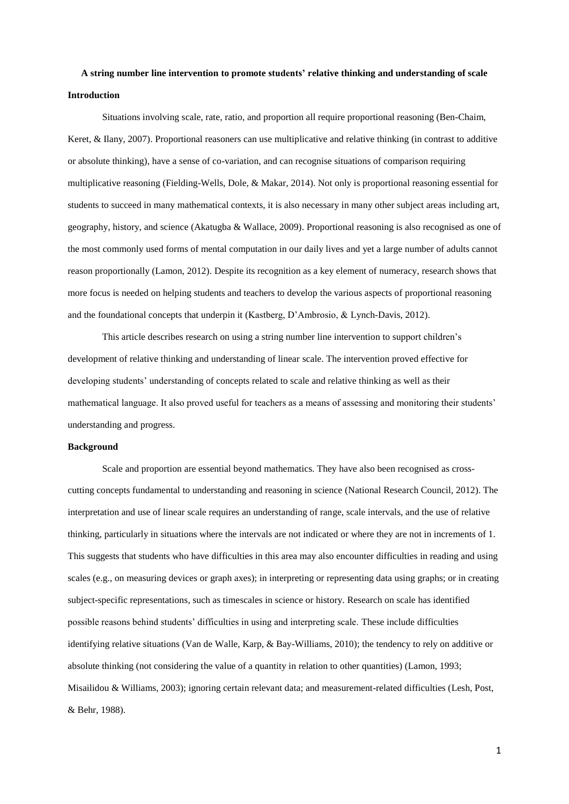# **A string number line intervention to promote students' relative thinking and understanding of scale Introduction**

Situations involving scale, rate, ratio, and proportion all require proportional reasoning (Ben-Chaim, Keret, & Ilany, 2007). Proportional reasoners can use multiplicative and relative thinking (in contrast to additive or absolute thinking), have a sense of co-variation, and can recognise situations of comparison requiring multiplicative reasoning (Fielding-Wells, Dole, & Makar, 2014). Not only is proportional reasoning essential for students to succeed in many mathematical contexts, it is also necessary in many other subject areas including art, geography, history, and science (Akatugba & Wallace, 2009). Proportional reasoning is also recognised as one of the most commonly used forms of mental computation in our daily lives and yet a large number of adults cannot reason proportionally (Lamon, 2012). Despite its recognition as a key element of numeracy, research shows that more focus is needed on helping students and teachers to develop the various aspects of proportional reasoning and the foundational concepts that underpin it (Kastberg, D'Ambrosio, & Lynch-Davis, 2012).

This article describes research on using a string number line intervention to support children's development of relative thinking and understanding of linear scale. The intervention proved effective for developing students' understanding of concepts related to scale and relative thinking as well as their mathematical language. It also proved useful for teachers as a means of assessing and monitoring their students' understanding and progress.

#### **Background**

Scale and proportion are essential beyond mathematics. They have also been recognised as crosscutting concepts fundamental to understanding and reasoning in science (National Research Council, 2012). The interpretation and use of linear scale requires an understanding of range, scale intervals, and the use of relative thinking, particularly in situations where the intervals are not indicated or where they are not in increments of 1. This suggests that students who have difficulties in this area may also encounter difficulties in reading and using scales (e.g., on measuring devices or graph axes); in interpreting or representing data using graphs; or in creating subject-specific representations, such as timescales in science or history. Research on scale has identified possible reasons behind students' difficulties in using and interpreting scale. These include difficulties identifying relative situations (Van de Walle, Karp, & Bay-Williams, 2010); the tendency to rely on additive or absolute thinking (not considering the value of a quantity in relation to other quantities) (Lamon, 1993; Misailidou & Williams, 2003); ignoring certain relevant data; and measurement-related difficulties (Lesh, Post, & Behr, 1988).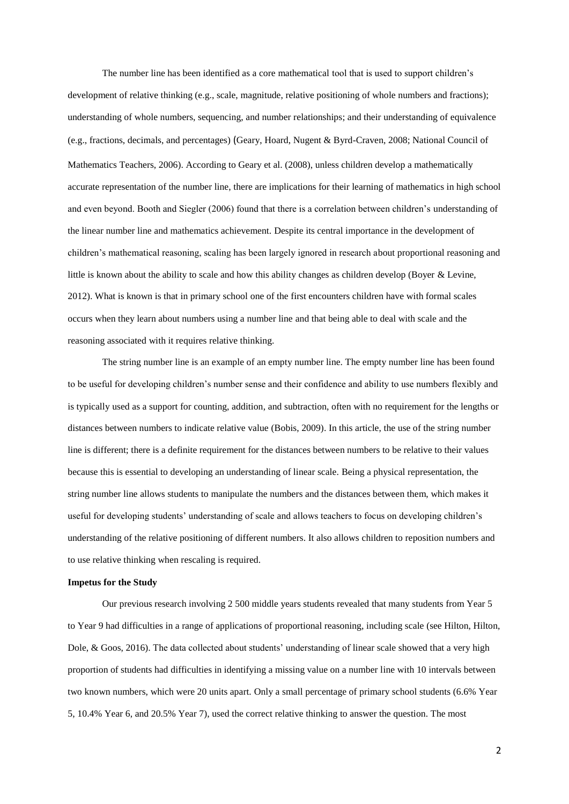The number line has been identified as a core mathematical tool that is used to support children's development of relative thinking (e.g., scale, magnitude, relative positioning of whole numbers and fractions); understanding of whole numbers, sequencing, and number relationships; and their understanding of equivalence (e.g., fractions, decimals, and percentages) (Geary, Hoard, Nugent & Byrd-Craven, 2008; National Council of Mathematics Teachers, 2006). According to Geary et al. (2008), unless children develop a mathematically accurate representation of the number line, there are implications for their learning of mathematics in high school and even beyond. Booth and Siegler (2006) found that there is a correlation between children's understanding of the linear number line and mathematics achievement. Despite its central importance in the development of children's mathematical reasoning, scaling has been largely ignored in research about proportional reasoning and little is known about the ability to scale and how this ability changes as children develop (Boyer & Levine, 2012). What is known is that in primary school one of the first encounters children have with formal scales occurs when they learn about numbers using a number line and that being able to deal with scale and the reasoning associated with it requires relative thinking.

The string number line is an example of an empty number line. The empty number line has been found to be useful for developing children's number sense and their confidence and ability to use numbers flexibly and is typically used as a support for counting, addition, and subtraction, often with no requirement for the lengths or distances between numbers to indicate relative value (Bobis, 2009). In this article, the use of the string number line is different; there is a definite requirement for the distances between numbers to be relative to their values because this is essential to developing an understanding of linear scale. Being a physical representation, the string number line allows students to manipulate the numbers and the distances between them, which makes it useful for developing students' understanding of scale and allows teachers to focus on developing children's understanding of the relative positioning of different numbers. It also allows children to reposition numbers and to use relative thinking when rescaling is required.

#### **Impetus for the Study**

Our previous research involving 2 500 middle years students revealed that many students from Year 5 to Year 9 had difficulties in a range of applications of proportional reasoning, including scale (see Hilton, Hilton, Dole, & Goos, 2016). The data collected about students' understanding of linear scale showed that a very high proportion of students had difficulties in identifying a missing value on a number line with 10 intervals between two known numbers, which were 20 units apart. Only a small percentage of primary school students (6.6% Year 5, 10.4% Year 6, and 20.5% Year 7), used the correct relative thinking to answer the question. The most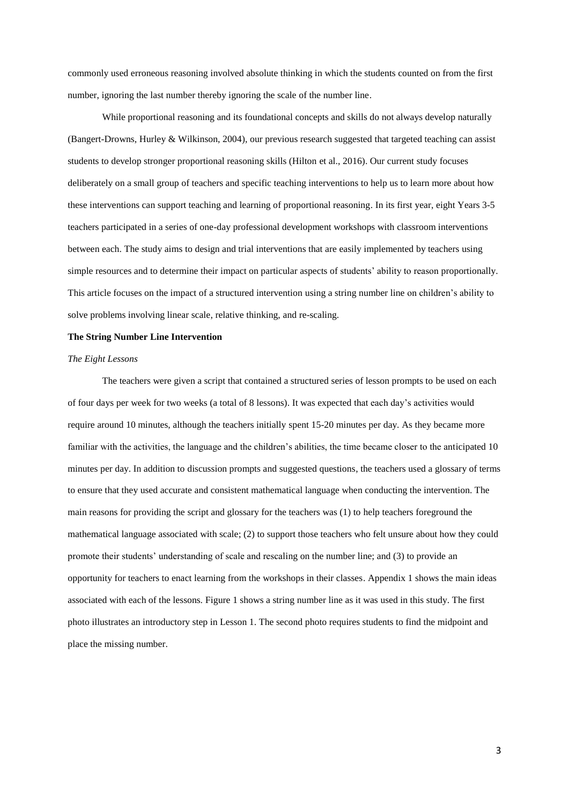commonly used erroneous reasoning involved absolute thinking in which the students counted on from the first number, ignoring the last number thereby ignoring the scale of the number line.

While proportional reasoning and its foundational concepts and skills do not always develop naturally (Bangert-Drowns, Hurley & Wilkinson, 2004), our previous research suggested that targeted teaching can assist students to develop stronger proportional reasoning skills (Hilton et al., 2016). Our current study focuses deliberately on a small group of teachers and specific teaching interventions to help us to learn more about how these interventions can support teaching and learning of proportional reasoning. In its first year, eight Years 3-5 teachers participated in a series of one-day professional development workshops with classroom interventions between each. The study aims to design and trial interventions that are easily implemented by teachers using simple resources and to determine their impact on particular aspects of students' ability to reason proportionally. This article focuses on the impact of a structured intervention using a string number line on children's ability to solve problems involving linear scale, relative thinking, and re-scaling.

#### **The String Number Line Intervention**

#### *The Eight Lessons*

The teachers were given a script that contained a structured series of lesson prompts to be used on each of four days per week for two weeks (a total of 8 lessons). It was expected that each day's activities would require around 10 minutes, although the teachers initially spent 15-20 minutes per day. As they became more familiar with the activities, the language and the children's abilities, the time became closer to the anticipated 10 minutes per day. In addition to discussion prompts and suggested questions, the teachers used a glossary of terms to ensure that they used accurate and consistent mathematical language when conducting the intervention. The main reasons for providing the script and glossary for the teachers was (1) to help teachers foreground the mathematical language associated with scale; (2) to support those teachers who felt unsure about how they could promote their students' understanding of scale and rescaling on the number line; and (3) to provide an opportunity for teachers to enact learning from the workshops in their classes. Appendix 1 shows the main ideas associated with each of the lessons. Figure 1 shows a string number line as it was used in this study. The first photo illustrates an introductory step in Lesson 1. The second photo requires students to find the midpoint and place the missing number.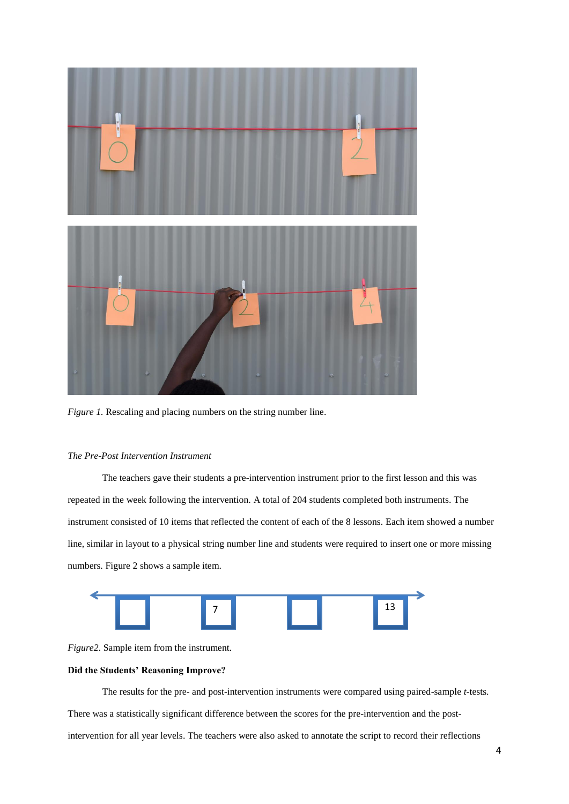

*Figure 1.* Rescaling and placing numbers on the string number line.

### *The Pre-Post Intervention Instrument*

The teachers gave their students a pre-intervention instrument prior to the first lesson and this was repeated in the week following the intervention. A total of 204 students completed both instruments. The instrument consisted of 10 items that reflected the content of each of the 8 lessons. Each item showed a number line, similar in layout to a physical string number line and students were required to insert one or more missing numbers. Figure 2 shows a sample item.



*Figure2*. Sample item from the instrument.

## **Did the Students' Reasoning Improve?**

The results for the pre- and post-intervention instruments were compared using paired-sample *t-*tests. There was a statistically significant difference between the scores for the pre-intervention and the postintervention for all year levels. The teachers were also asked to annotate the script to record their reflections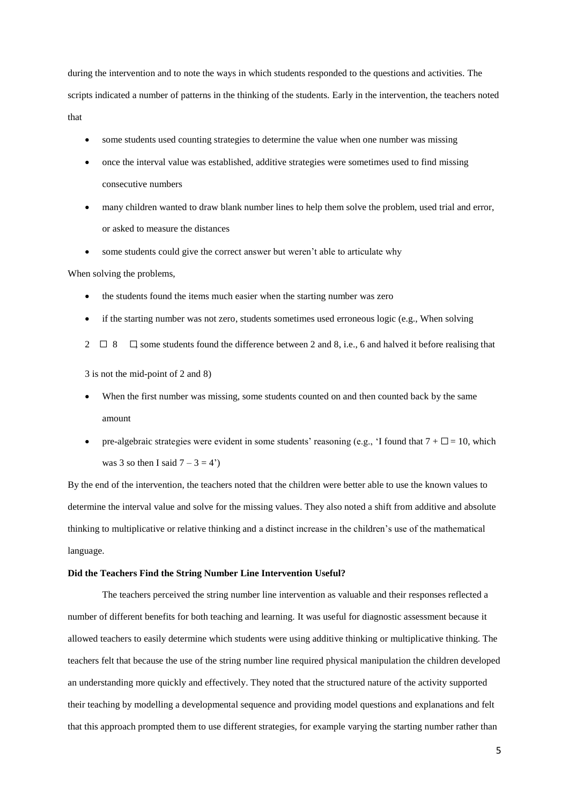during the intervention and to note the ways in which students responded to the questions and activities. The scripts indicated a number of patterns in the thinking of the students. Early in the intervention, the teachers noted that

- some students used counting strategies to determine the value when one number was missing
- once the interval value was established, additive strategies were sometimes used to find missing consecutive numbers
- many children wanted to draw blank number lines to help them solve the problem, used trial and error, or asked to measure the distances
- some students could give the correct answer but weren't able to articulate why

When solving the problems,

- the students found the items much easier when the starting number was zero
- if the starting number was not zero, students sometimes used erroneous logic (e.g., When solving
- 2  $\Box$  8  $\Box$  some students found the difference between 2 and 8, i.e., 6 and halved it before realising that

3 is not the mid-point of 2 and 8)

- When the first number was missing, some students counted on and then counted back by the same amount
- pre-algebraic strategies were evident in some students' reasoning (e.g., 'I found that  $7 + \Box = 10$ , which was 3 so then I said  $7 - 3 = 4'$ )

By the end of the intervention, the teachers noted that the children were better able to use the known values to determine the interval value and solve for the missing values. They also noted a shift from additive and absolute thinking to multiplicative or relative thinking and a distinct increase in the children's use of the mathematical language.

#### **Did the Teachers Find the String Number Line Intervention Useful?**

The teachers perceived the string number line intervention as valuable and their responses reflected a number of different benefits for both teaching and learning. It was useful for diagnostic assessment because it allowed teachers to easily determine which students were using additive thinking or multiplicative thinking. The teachers felt that because the use of the string number line required physical manipulation the children developed an understanding more quickly and effectively. They noted that the structured nature of the activity supported their teaching by modelling a developmental sequence and providing model questions and explanations and felt that this approach prompted them to use different strategies, for example varying the starting number rather than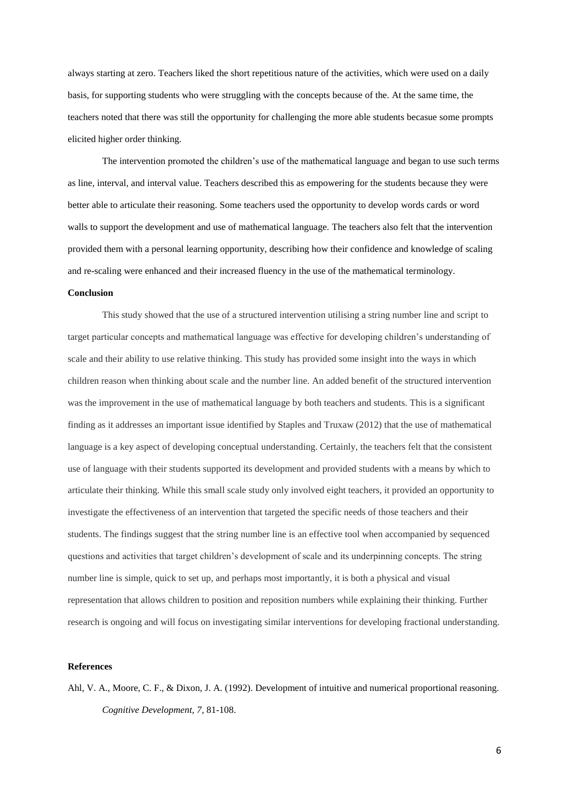always starting at zero. Teachers liked the short repetitious nature of the activities, which were used on a daily basis, for supporting students who were struggling with the concepts because of the. At the same time, the teachers noted that there was still the opportunity for challenging the more able students becasue some prompts elicited higher order thinking.

The intervention promoted the children's use of the mathematical language and began to use such terms as line, interval, and interval value. Teachers described this as empowering for the students because they were better able to articulate their reasoning. Some teachers used the opportunity to develop words cards or word walls to support the development and use of mathematical language. The teachers also felt that the intervention provided them with a personal learning opportunity, describing how their confidence and knowledge of scaling and re-scaling were enhanced and their increased fluency in the use of the mathematical terminology.

#### **Conclusion**

This study showed that the use of a structured intervention utilising a string number line and script to target particular concepts and mathematical language was effective for developing children's understanding of scale and their ability to use relative thinking. This study has provided some insight into the ways in which children reason when thinking about scale and the number line. An added benefit of the structured intervention was the improvement in the use of mathematical language by both teachers and students. This is a significant finding as it addresses an important issue identified by Staples and Truxaw (2012) that the use of mathematical language is a key aspect of developing conceptual understanding. Certainly, the teachers felt that the consistent use of language with their students supported its development and provided students with a means by which to articulate their thinking. While this small scale study only involved eight teachers, it provided an opportunity to investigate the effectiveness of an intervention that targeted the specific needs of those teachers and their students. The findings suggest that the string number line is an effective tool when accompanied by sequenced questions and activities that target children's development of scale and its underpinning concepts. The string number line is simple, quick to set up, and perhaps most importantly, it is both a physical and visual representation that allows children to position and reposition numbers while explaining their thinking. Further research is ongoing and will focus on investigating similar interventions for developing fractional understanding.

#### **References**

Ahl, V. A., Moore, C. F., & Dixon, J. A. (1992). Development of intuitive and numerical proportional reasoning. *Cognitive Development, 7*, 81-108.

6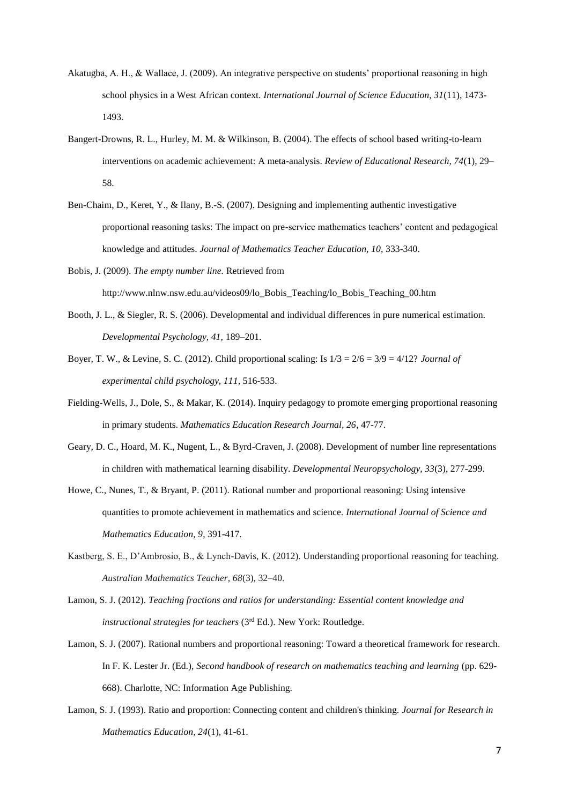- Akatugba, A. H., & Wallace, J. (2009). An integrative perspective on students' proportional reasoning in high school physics in a West African context. *International Journal of Science Education, 31*(11), 1473- 1493.
- Bangert-Drowns, R. L., Hurley, M. M. & Wilkinson, B. (2004). The effects of school based writing-to-learn interventions on academic achievement: A meta-analysis. *Review of Educational Research, 74*(1), 29– 58.
- Ben-Chaim, D., Keret, Y., & Ilany, B.-S. (2007). Designing and implementing authentic investigative proportional reasoning tasks: The impact on pre-service mathematics teachers' content and pedagogical knowledge and attitudes. *Journal of Mathematics Teacher Education, 10*, 333-340.
- Bobis, J. (2009). *The empty number line.* Retrieved from http://www.nlnw.nsw.edu.au/videos09/lo\_Bobis\_Teaching/lo\_Bobis\_Teaching\_00.htm
- Booth, J. L., & Siegler, R. S. (2006). Developmental and individual differences in pure numerical estimation. *Developmental Psychology, 41,* 189–201.
- Boyer, T. W., & Levine, S. C. (2012). Child proportional scaling: Is 1/3 = 2/6 = 3/9 = 4/12? *Journal of experimental child psychology, 111,* 516-533.
- Fielding-Wells, J., Dole, S., & Makar, K. (2014). Inquiry pedagogy to promote emerging proportional reasoning in primary students. *Mathematics Education Research Journal, 26*, 47-77.
- Geary, D. C., Hoard, M. K., Nugent, L., & Byrd-Craven, J. (2008). Development of number line representations in children with mathematical learning disability. *Developmental Neuropsychology, 33*(3), 277-299.
- Howe, C., Nunes, T., & Bryant, P. (2011). Rational number and proportional reasoning: Using intensive quantities to promote achievement in mathematics and science. *International Journal of Science and Mathematics Education, 9*, 391-417.
- Kastberg, S. E., D'Ambrosio, B., & Lynch-Davis, K. (2012). Understanding proportional reasoning for teaching. *Australian Mathematics Teacher, 68*(3), 32–40.
- Lamon, S. J. (2012). *Teaching fractions and ratios for understanding: Essential content knowledge and instructional strategies for teachers (3<sup>rd</sup> Ed.). New York: Routledge.*
- Lamon, S. J. (2007). Rational numbers and proportional reasoning: Toward a theoretical framework for research. In F. K. Lester Jr. (Ed.), *Second handbook of research on mathematics teaching and learning* (pp. 629-668). Charlotte, NC: Information Age Publishing.
- Lamon, S. J. (1993). Ratio and proportion: Connecting content and children's thinking. *Journal for Research in Mathematics Education, 24*(1), 41-61.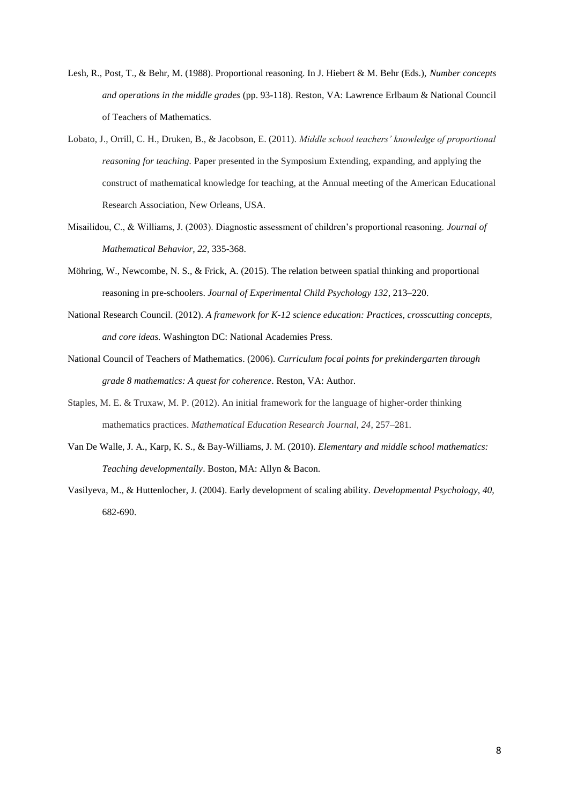- Lesh, R., Post, T., & Behr, M. (1988). Proportional reasoning. In J. Hiebert & M. Behr (Eds.), *Number concepts and operations in the middle grades* (pp. 93-118). Reston, VA: Lawrence Erlbaum & National Council of Teachers of Mathematics.
- Lobato, J., Orrill, C. H., Druken, B., & Jacobson, E. (2011). *Middle school teachers' knowledge of proportional reasoning for teaching*. Paper presented in the Symposium Extending, expanding, and applying the construct of mathematical knowledge for teaching, at the Annual meeting of the American Educational Research Association, New Orleans, USA.
- Misailidou, C., & Williams, J. (2003). Diagnostic assessment of children's proportional reasoning. *Journal of Mathematical Behavior, 22*, 335-368.
- Möhring, W., Newcombe, N. S., & Frick, A. (2015). The relation between spatial thinking and proportional reasoning in pre-schoolers. *Journal of Experimental Child Psychology 132*, 213–220.
- National Research Council. (2012). *A framework for K-12 science education: Practices, crosscutting concepts, and core ideas.* Washington DC: National Academies Press.
- National Council of Teachers of Mathematics. (2006). *Curriculum focal points for prekindergarten through grade 8 mathematics: A quest for coherence*. Reston, VA: Author.
- Staples, M. E. & Truxaw, M. P. (2012). An initial framework for the language of higher-order thinking mathematics practices. *Mathematical Education Research Journal, 24*, 257–281.
- Van De Walle, J. A., Karp, K. S., & Bay-Williams, J. M. (2010). *Elementary and middle school mathematics: Teaching developmentally*. Boston, MA: Allyn & Bacon.
- Vasilyeva, M., & Huttenlocher, J. (2004). Early development of scaling ability. *Developmental Psychology, 40,*  682-690.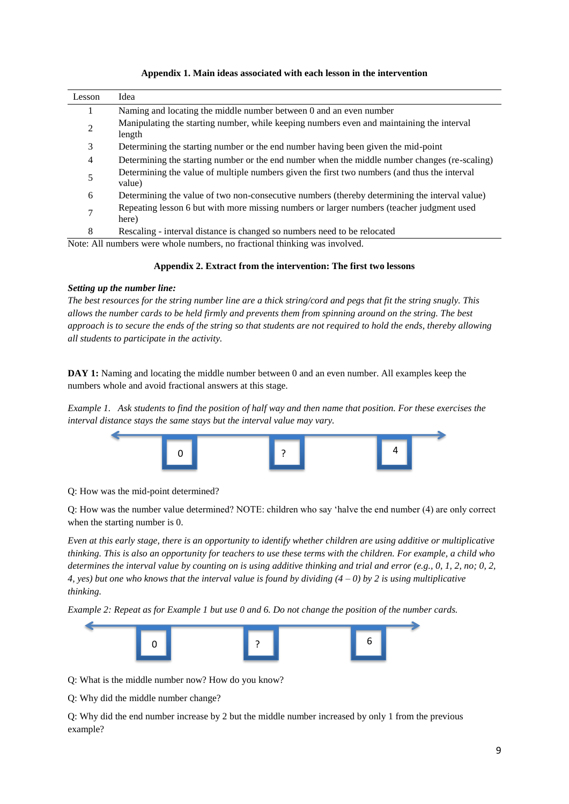| Lesson         | Idea                                                                                                   |
|----------------|--------------------------------------------------------------------------------------------------------|
|                | Naming and locating the middle number between 0 and an even number                                     |
| $\overline{c}$ | Manipulating the starting number, while keeping numbers even and maintaining the interval<br>length    |
| 3              | Determining the starting number or the end number having been given the mid-point                      |
| 4              | Determining the starting number or the end number when the middle number changes (re-scaling)          |
| 5              | Determining the value of multiple numbers given the first two numbers (and thus the interval<br>value) |
| 6              | Determining the value of two non-consecutive numbers (thereby determining the interval value)          |
| 7              | Repeating lesson 6 but with more missing numbers or larger numbers (teacher judgment used<br>here)     |
| 8              | Rescaling - interval distance is changed so numbers need to be relocated                               |

# **Appendix 1. Main ideas associated with each lesson in the intervention**

Note: All numbers were whole numbers, no fractional thinking was involved.

# **Appendix 2. Extract from the intervention: The first two lessons**

# *Setting up the number line:*

*The best resources for the string number line are a thick string/cord and pegs that fit the string snugly. This allows the number cards to be held firmly and prevents them from spinning around on the string. The best approach is to secure the ends of the string so that students are not required to hold the ends, thereby allowing all students to participate in the activity.*

DAY 1: Naming and locating the middle number between 0 and an even number. All examples keep the numbers whole and avoid fractional answers at this stage.

*Example 1. Ask students to find the position of half way and then name that position. For these exercises the interval distance stays the same stays but the interval value may vary.* 



Q: How was the mid-point determined?

Q: How was the number value determined? NOTE: children who say 'halve the end number (4) are only correct when the starting number is 0.

*Even at this early stage, there is an opportunity to identify whether children are using additive or multiplicative thinking. This is also an opportunity for teachers to use these terms with the children. For example, a child who determines the interval value by counting on is using additive thinking and trial and error (e.g., 0, 1, 2, no; 0, 2, 4, yes) but one who knows that the interval value is found by dividing (4 – 0) by 2 is using multiplicative thinking.*

*Example 2: Repeat as for Example 1 but use 0 and 6. Do not change the position of the number cards.*



Q: What is the middle number now? How do you know?

Q: Why did the middle number change?

Q: Why did the end number increase by 2 but the middle number increased by only 1 from the previous example?